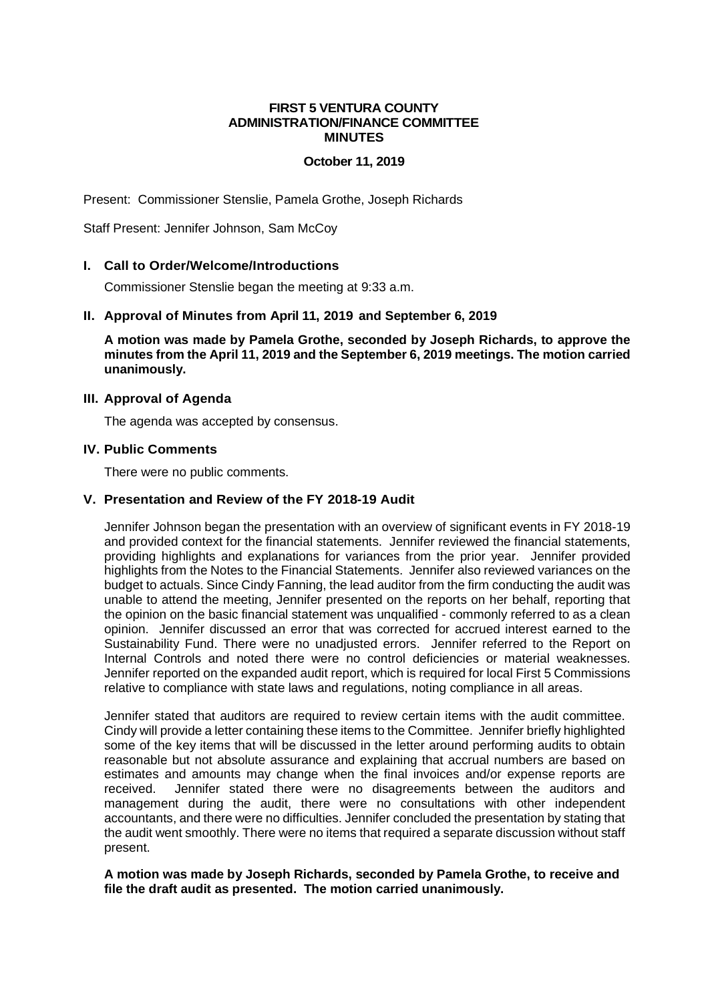## **FIRST 5 VENTURA COUNTY ADMINISTRATION/FINANCE COMMITTEE MINUTES**

#### **October 11, 2019**

Present: Commissioner Stenslie, Pamela Grothe, Joseph Richards

Staff Present: Jennifer Johnson, Sam McCoy

## **I. Call to Order/Welcome/Introductions**

Commissioner Stenslie began the meeting at 9:33 a.m.

## **II. Approval of Minutes from April 11, 2019 and September 6, 2019**

**A motion was made by Pamela Grothe, seconded by Joseph Richards, to approve the minutes from the April 11, 2019 and the September 6, 2019 meetings. The motion carried unanimously.**

#### **III. Approval of Agenda**

The agenda was accepted by consensus.

#### **IV. Public Comments**

There were no public comments.

# **V. Presentation and Review of the FY 2018-19 Audit**

Jennifer Johnson began the presentation with an overview of significant events in FY 2018-19 and provided context for the financial statements. Jennifer reviewed the financial statements, providing highlights and explanations for variances from the prior year. Jennifer provided highlights from the Notes to the Financial Statements. Jennifer also reviewed variances on the budget to actuals. Since Cindy Fanning, the lead auditor from the firm conducting the audit was unable to attend the meeting, Jennifer presented on the reports on her behalf, reporting that the opinion on the basic financial statement was unqualified - commonly referred to as a clean opinion. Jennifer discussed an error that was corrected for accrued interest earned to the Sustainability Fund. There were no unadjusted errors. Jennifer referred to the Report on Internal Controls and noted there were no control deficiencies or material weaknesses. Jennifer reported on the expanded audit report, which is required for local First 5 Commissions relative to compliance with state laws and regulations, noting compliance in all areas.

Jennifer stated that auditors are required to review certain items with the audit committee. Cindy will provide a letter containing these items to the Committee. Jennifer briefly highlighted some of the key items that will be discussed in the letter around performing audits to obtain reasonable but not absolute assurance and explaining that accrual numbers are based on estimates and amounts may change when the final invoices and/or expense reports are received. Jennifer stated there were no disagreements between the auditors and management during the audit, there were no consultations with other independent accountants, and there were no difficulties. Jennifer concluded the presentation by stating that the audit went smoothly. There were no items that required a separate discussion without staff present.

#### **A motion was made by Joseph Richards, seconded by Pamela Grothe, to receive and file the draft audit as presented. The motion carried unanimously.**